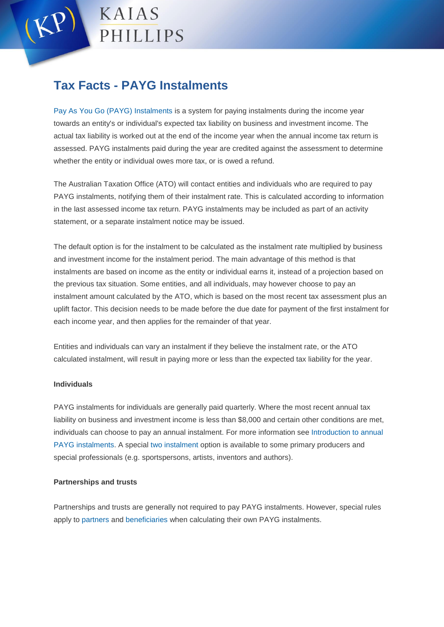

# **Tax Facts - PAYG Instalments**

[Pay As You Go \(PAYG\) Instalments](https://www.ato.gov.au/General/PAYG-instalments/In-detail/Introduction/Introduction-to-PAYG-instalments/) is a system for paying instalments during the income year towards an entity's or individual's expected tax liability on business and investment income. The actual tax liability is worked out at the end of the income year when the annual income tax return is assessed. PAYG instalments paid during the year are credited against the assessment to determine whether the entity or individual owes more tax, or is owed a refund.

The Australian Taxation Office (ATO) will contact entities and individuals who are required to pay PAYG instalments, notifying them of their instalment rate. This is calculated according to information in the last assessed income tax return. PAYG instalments may be included as part of an activity statement, or a separate instalment notice may be issued.

The default option is for the instalment to be calculated as the instalment rate multiplied by business and investment income for the instalment period. The main advantage of this method is that instalments are based on income as the entity or individual earns it, instead of a projection based on the previous tax situation. Some entities, and all individuals, may however choose to pay an instalment amount calculated by the ATO, which is based on the most recent tax assessment plus an uplift factor. This decision needs to be made before the due date for payment of the first instalment for each income year, and then applies for the remainder of that year.

Entities and individuals can vary an instalment if they believe the instalment rate, or the ATO calculated instalment, will result in paying more or less than the expected tax liability for the year.

### **Individuals**

PAYG instalments for individuals are generally paid quarterly. Where the most recent annual tax liability on business and investment income is less than \$8,000 and certain other conditions are met, individuals can choose to pay an annual instalment. For more information see [Introduction to annual](http://www.ato.gov.au/General/PAYG-instalments/In-detail/Introduction/Introduction-to-annual-PAYG-instalments/)  [PAYG instalments.](http://www.ato.gov.au/General/PAYG-instalments/In-detail/Introduction/Introduction-to-annual-PAYG-instalments/) A special [two instalment](https://www.ato.gov.au/Print-publications/PAYG-Instalments-for-primary-producers-and-special-professionals/?page=4#Two_instalments) option is available to some primary producers and special professionals (e.g. sportspersons, artists, inventors and authors).

### **Partnerships and trusts**

Partnerships and trusts are generally not required to pay PAYG instalments. However, special rules apply to [partners a](https://www.ato.gov.au/General/PAYG-instalments/In-detail/Partnerships---trusts/PAYG-instalments-income----partnerships/)nd [beneficiaries w](https://www.ato.gov.au/General/PAYG-instalments/In-detail/Partnerships---trusts/PAYG-instalment-income---trusts/)hen calculating their own PAYG instalments.